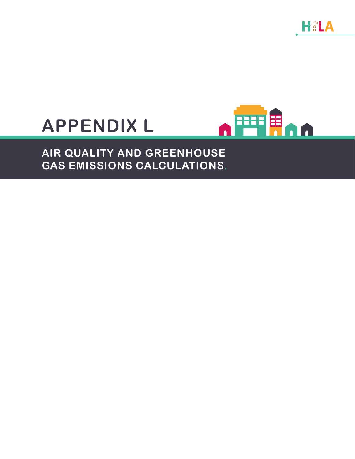HALA

# **APPENDIX L**



**AIR QUALITY AND GREENHOUSE GAS EMISSIONS CALCULATIONS.**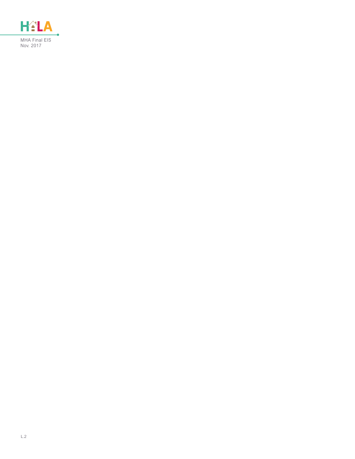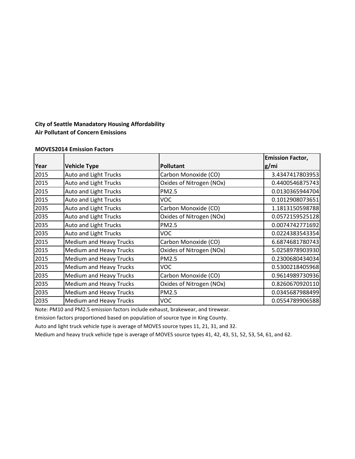#### **MOVES2014 Emission Factors**

|      |                                |                          | <b>Emission Factor,</b> |
|------|--------------------------------|--------------------------|-------------------------|
| Year | <b>Vehicle Type</b>            | Pollutant                | g/mi                    |
| 2015 | Auto and Light Trucks          | Carbon Monoxide (CO)     | 3.4347417803953         |
| 2015 | Auto and Light Trucks          | Oxides of Nitrogen (NOx) | 0.4400546875743         |
| 2015 | Auto and Light Trucks          | PM2.5                    | 0.0130365944704         |
| 2015 | <b>Auto and Light Trucks</b>   | VOC                      | 0.1012908073651         |
| 2035 | <b>Auto and Light Trucks</b>   | Carbon Monoxide (CO)     | 1.1813150598788         |
| 2035 | <b>Auto and Light Trucks</b>   | Oxides of Nitrogen (NOx) | 0.0572159525128         |
| 2035 | Auto and Light Trucks          | PM2.5                    | 0.0074742771692         |
| 2035 | Auto and Light Trucks          | <b>VOC</b>               | 0.0224383543354         |
| 2015 | Medium and Heavy Trucks        | Carbon Monoxide (CO)     | 6.6874681780743         |
| 2015 | Medium and Heavy Trucks        | Oxides of Nitrogen (NOx) | 5.0258978903930         |
| 2015 | Medium and Heavy Trucks        | PM2.5                    | 0.2300680434034         |
| 2015 | Medium and Heavy Trucks        | <b>VOC</b>               | 0.5300218405968         |
| 2035 | Medium and Heavy Trucks        | Carbon Monoxide (CO)     | 0.9614989730936         |
| 2035 | Medium and Heavy Trucks        | Oxides of Nitrogen (NOx) | 0.8260670920110         |
| 2035 | Medium and Heavy Trucks        | PM2.5                    | 0.0345687988499         |
| 2035 | <b>Medium and Heavy Trucks</b> | VOC                      | 0.0554789906588         |

Note: PM10 and PM2.5 emission factors include exhaust, brakewear, and tirewear.

Emission factors proportioned based on population of source type in King County.

Auto and light truck vehicle type is average of MOVES source types 11, 21, 31, and 32.

Medium and heavy truck vehicle type is average of MOVES source types 41, 42, 43, 51, 52, 53, 54, 61, and 62.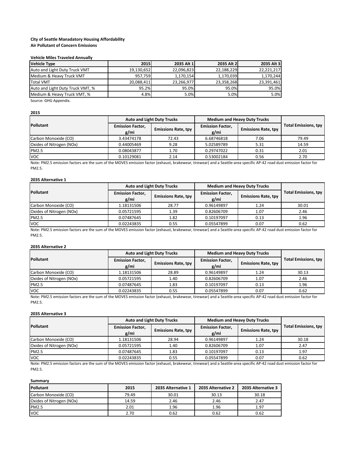## **Vehicle Miles Traveled Annually**

| <b>Vehicle Type</b>              | 2015       | 2035 Alt 1 | 2035 Alt 2 | 2035 Alt 3 |
|----------------------------------|------------|------------|------------|------------|
| Auto and Light Duty Truck VMT    | 19,130,652 | 22,096,823 | 22,188,229 | 22,221,217 |
| Medium & Heavy Truck VMT         | 957,759    | 1,170,154  | 1,170,039  | 1,170,244  |
| <b>Total VMT</b>                 | 20,088,411 | 23,266,977 | 23,358,268 | 23,391,461 |
| Auto and Light Duty Truck VMT, % | 95.2%      | 95.0%      | 95.0%      | 95.0%      |
| Medium & Heavy Truck VMT, %      | 4.8%       | 5.0%       | 5.0%       | 5.0%       |

Source: GHG Appendix.

#### **2015**

|                          |                                 | <b>Auto and Light Duty Trucks</b> | <b>Medium and Heavy Duty Trucks</b> |                            |                             |
|--------------------------|---------------------------------|-----------------------------------|-------------------------------------|----------------------------|-----------------------------|
| <b>Pollutant</b>         | <b>Emission Factor,</b><br>g/mi | <b>Emissions Rate, tpy</b>        | <b>Emission Factor,</b><br>g/mi     | <b>Emissions Rate, tpy</b> | <b>Total Emissions, tpy</b> |
| Carbon Monoxide (CO)     | 3.43474178                      | 72.43                             | 6.68746818                          | 7.06                       | 79.49                       |
| Oxides of Nitrogen (NOx) | 0.44005469                      | 9.28                              | 5.02589789                          | 5.31                       | 14.59                       |
| PM2.5                    | 0.08043877                      | 1.70                              | 0.29747022                          | 0.31                       | 2.01                        |
| <b>VOC</b>               | 0.10129081                      | 2.14                              | 0.53002184                          | 0.56                       | 2.70                        |

Note: PM2.5 emission factors are the sum of the MOVES emission factor (exhaust, brakewear, tirewear) and a Seattle-area specific AP-42 road dust emission factor for PM2.5.

#### **2035 Alternative 1**

|                          |                                 | <b>Auto and Light Duty Trucks</b> | <b>Medium and Heavy Duty Trucks</b> |                            |                      |
|--------------------------|---------------------------------|-----------------------------------|-------------------------------------|----------------------------|----------------------|
| <b>Pollutant</b>         | <b>Emission Factor,</b><br>g/mi | <b>Emissions Rate, tpy</b>        | <b>Emission Factor,</b><br>g/mi     | <b>Emissions Rate, tpy</b> | Total Emissions, tpy |
| Carbon Monoxide (CO)     | 1.18131506                      | 28.77                             | 0.96149897                          | 1.24                       | 30.01                |
| Oxides of Nitrogen (NOx) | 0.05721595                      | 1.39                              | 0.82606709                          | 1.07                       | 2.46                 |
| PM2.5                    | 0.07487645                      | 1.82                              | 0.10197097                          | 0.13                       | 1.96                 |
| <b>VOC</b>               | 0.02243835                      | 0.55                              | 0.05547899                          | 0.07                       | 0.62                 |

Note: PM2.5 emission factors are the sum of the MOVES emission factor (exhaust, brakewear, tirewear) and a Seattle-area specific AP-42 road dust emission factor for PM2.5.

#### **2035 Alternative 2**

|                          |                                 | <b>Auto and Light Duty Trucks</b> | <b>Medium and Heavy Duty Trucks</b> |                            |                             |
|--------------------------|---------------------------------|-----------------------------------|-------------------------------------|----------------------------|-----------------------------|
| Pollutant                | <b>Emission Factor,</b><br>g/mi | <b>Emissions Rate, tpy</b>        | <b>Emission Factor,</b><br>g/mi     | <b>Emissions Rate, tpy</b> | <b>Total Emissions, tpy</b> |
| Carbon Monoxide (CO)     | 1.18131506                      | 28.89                             | 0.96149897                          | 1.24                       | 30.13                       |
| Oxides of Nitrogen (NOx) | 0.05721595                      | 1.40                              | 0.82606709                          | 1.07                       | 2.46                        |
| <b>PM2.5</b>             | 0.07487645                      | 1.83                              | 0.10197097                          | 0.13                       | 1.96                        |
| <b>VOC</b>               | 0.02243835                      | 0.55                              | 0.05547899                          | 0.07                       | 0.62                        |

Note: PM2.5 emission factors are the sum of the MOVES emission factor (exhaust, brakewear, tirewear) and a Seattle-area specific AP-42 road dust emission factor for PM2.5.

## **2035 Alternative 3**

|                          |                                 | <b>Auto and Light Duty Trucks</b> | <b>Medium and Heavy Duty Trucks</b>                           |      |                             |
|--------------------------|---------------------------------|-----------------------------------|---------------------------------------------------------------|------|-----------------------------|
| Pollutant                | <b>Emission Factor,</b><br>g/mi | <b>Emissions Rate, tpy</b>        | <b>Emission Factor,</b><br><b>Emissions Rate, tpy</b><br>g/mi |      | <b>Total Emissions, tpy</b> |
| Carbon Monoxide (CO)     | 1.18131506                      | 28.94                             | 0.96149897                                                    | 1.24 | 30.18                       |
| Oxides of Nitrogen (NOx) | 0.05721595                      | 1.40                              | 0.82606709                                                    | 1.07 | 2.47                        |
| <b>PM2.5</b>             | 0.07487645                      | 1.83                              | 0.10197097                                                    | 0.13 | 1.97                        |
| <b>VOC</b>               | 0.02243835                      | 0.55                              | 0.05547899                                                    | 0.07 | 0.62                        |

Note: PM2.5 emission factors are the sum of the MOVES emission factor (exhaust, brakewear, tirewear) and a Seattle-area specific AP-42 road dust emission factor for PM2.5.

#### **Summary**

| Pollutant                | 2015  | 2035 Alternative 1 | 2035 Alternative 2 | 2035 Alternative 3 |
|--------------------------|-------|--------------------|--------------------|--------------------|
| Carbon Monoxide (CO)     | 79.49 | 30.01              | 30.13              | 30.18              |
| Oxides of Nitrogen (NOx) | 14.59 | 2.46               | 2.46               | 2.47               |
| <b>PM2.5</b>             | 2.01  | 1.96               | 1.96               | 1.97               |
| <b>VOC</b>               | 2.70  | 0.62               | 0.62               | 0.62               |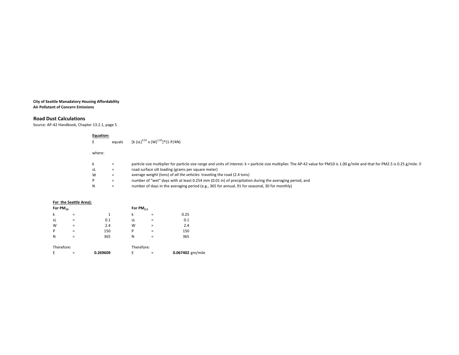## **Road Dust Calculations**

Source: AP-42 Handbook, Chapter 13.2.1, page 5

## **Equation:**

| -------- | equals | [k (sL) <sup>0.91</sup> x (W) <sup>1.02</sup> ]*(1-P/4N)                                                                                                                                  |
|----------|--------|-------------------------------------------------------------------------------------------------------------------------------------------------------------------------------------------|
| where:   |        |                                                                                                                                                                                           |
|          | $=$    | particle size multiplier for particle size range and units of interest. k = particle size multiplier. The AP-42 value for PM10 is 1.00 g/mile and that for PM2.5 is 0.25 g/mile. <b>E</b> |
| SL       | $=$    | road surface silt loading (grams per square meter)                                                                                                                                        |
| w        | $=$    | average weight (tons) of all the vehicles traveling the road (2.4 tons)                                                                                                                   |
|          | $=$    | number of "wet" days with at least 0.254 mm (0.01 in) of precipitation during the averaging period, and                                                                                   |
|          | $=$    | number of days in the averaging period (e.g., 365 for annual, 91 for seasonal, 30 for monthly)                                                                                            |
|          |        |                                                                                                                                                                                           |

|               | For the Seattle Area): |          |            |             |                  |  |  |  |
|---------------|------------------------|----------|------------|-------------|------------------|--|--|--|
| For $PM_{10}$ |                        |          |            | For $PM2.5$ |                  |  |  |  |
| k             | $=$                    | 1        | k          | $=$         | 0.25             |  |  |  |
| sL            | $=$                    | 0.1      | sL         |             | 0.1              |  |  |  |
| W             | $=$                    | 2.4      | W          | $=$         | 2.4              |  |  |  |
| P             | $=$                    | 150      | P          | $=$         | 150              |  |  |  |
| N             | $\equiv$               | 365      | N          | $=$         | 365              |  |  |  |
| Therefore:    |                        |          | Therefore: |             |                  |  |  |  |
| E             | =                      | 0.269609 | E          | $\equiv$    | 0.067402 gm/mile |  |  |  |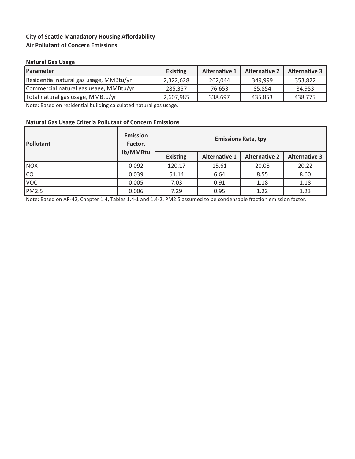#### **Natural Gas Usage**

| <b>Parameter</b>                        | <b>Existing</b> | <b>Alternative 1</b> | <b>Alternative 2</b> | <b>Alternative 3</b> |
|-----------------------------------------|-----------------|----------------------|----------------------|----------------------|
| Residential natural gas usage, MMBtu/yr | 2,322,628       | 262,044              | 349.999              | 353,822              |
| Commercial natural gas usage, MMBtu/yr  | 285.357         | 76.653               | 85.854               | 84,953               |
| Total natural gas usage, MMBtu/yr       | 2,607,985       | 338.697              | 435,853              | 438,775              |

Note: Based on residential building calculated natural gas usage.

#### **Natural Gas Usage Criteria Pollutant of Concern Emissions**

| Pollutant    | <b>Emission</b><br>Factor, | <b>Emissions Rate, tpy</b> |                      |                      |                      |  |  |  |
|--------------|----------------------------|----------------------------|----------------------|----------------------|----------------------|--|--|--|
|              | lb/MMBtu                   | <b>Existing</b>            | <b>Alternative 1</b> | <b>Alternative 2</b> | <b>Alternative 3</b> |  |  |  |
| <b>NOX</b>   | 0.092                      | 120.17                     | 15.61                | 20.08                | 20.22                |  |  |  |
| <b>CO</b>    | 0.039                      | 51.14                      | 6.64                 | 8.55                 | 8.60                 |  |  |  |
| <b>VOC</b>   | 0.005                      | 7.03                       | 0.91                 | 1.18                 | 1.18                 |  |  |  |
| <b>PM2.5</b> | 0.006                      | 7.29                       | 0.95                 | 1.22                 | 1.23                 |  |  |  |

Note: Based on AP-42, Chapter 1.4, Tables 1.4-1 and 1.4-2. PM2.5 assumed to be condensable fraction emission factor.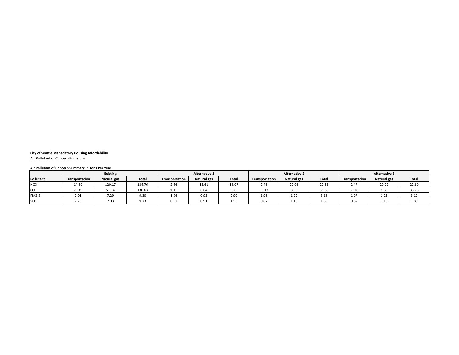**Air Pollutant of Concern Summary in Tons Per Year**

|                  | <b>Existing</b> |             |              | <b>Alternative 1</b> |             |              | <b>Alternative 2</b> |             |              | <b>Alternative 3</b> |             |              |
|------------------|-----------------|-------------|--------------|----------------------|-------------|--------------|----------------------|-------------|--------------|----------------------|-------------|--------------|
| <b>Pollutant</b> | Transportation  | Natural gas | <b>Total</b> | Transportation       | Natural gas | <b>Total</b> | Transportation       | Natural gas | <b>Total</b> | Transportation       | Natural gas | <b>Total</b> |
| <b>NOX</b>       | 14.59           | 120.17      | 134.76       | 2.46                 | 15.61       | 18.07        | 2.46                 | 20.08       | 22.55        | 2.47                 | 20.22       | 22.69        |
| <b>CO</b>        | 79.49           | 51.14       | 130.63       | 30.01                | 6.64        | 36.66        | 30.13                | 8.55        | 38.68        | 30.18                | 8.60        | 38.78        |
| <b>PM2.5</b>     | 2.01            | 7.29        | 9.30         | 1.96                 | 0.95        | 2.90         | 1.96                 | 1.22        | 3.18         | 1.97                 | 1.23        | 3.19         |
| <b>VOC</b>       | 2.70            | 7.03        | 9.73         | 0.62                 | 0.91        | 1.53         | 0.62                 | 1.18        | 1.80         | 0.62                 | 1.18        | 1.80         |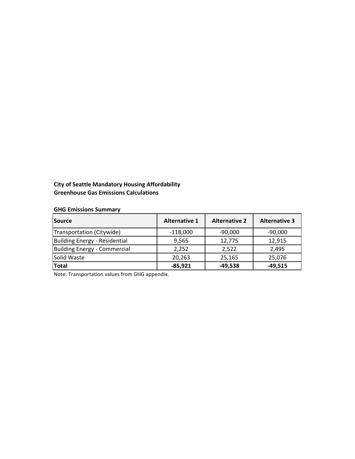**City of Seattle Mandatory Housing Affordability Greenhouse Gas Emissions Calculations**

## **GHG Emissions Summary**

| <b>Source</b>                        | <b>Alternative 1</b> | <b>Alternative 2</b> | <b>Alternative 3</b> |
|--------------------------------------|----------------------|----------------------|----------------------|
| Transportation (Citywide)            | $-118,000$           | $-90,000$            | $-90,000$            |
| <b>Building Energy - Residential</b> | 9,565                | 12,775               | 12,915               |
| <b>Building Energy - Commercial</b>  | 2,252                | 2.522                | 2.495                |
| Solid Waste                          | 20,263               | 25,165               | 25,076               |
| <b>Total</b>                         | $-85,921$            | -49,538              | -49,515              |

Note: Transportation values from GHG appendix.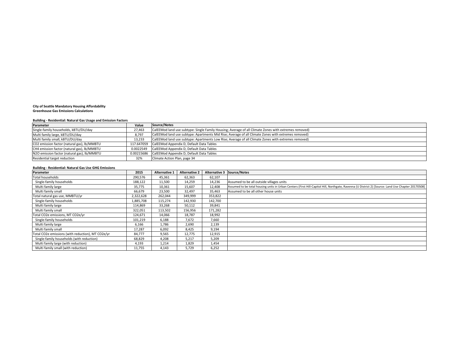#### **City of Seattle Mandatory Housing Affordability Greenhouse Gas Emissions Calculations**

## **Building - Residential: Natural Gas Usage and Emission Factors**

## **Building - Residential: Natural Gas Use GHG Emissions**

| Parameter                                         | 2015      | <b>Alternative 1</b> | <b>Alternative 2</b> | <b>Alternative 3</b> | Source/Notes                                           |
|---------------------------------------------------|-----------|----------------------|----------------------|----------------------|--------------------------------------------------------|
| Total households                                  | 290,576   | 45,361               | 62,363               | 62,107               |                                                        |
| Single-family households                          | 188,122   | 11,500               | 14,259               | 14,236               | Assumed to be all outside villages units               |
| Multi family large                                | 35,775    | 10,361               | 15,607               | 12,408               | Assumed to be total housing units in Urban Centers (Fi |
| Multi family small                                | 66,679    | 23,500               | 32,497               | 35,463               | Assumed to be all other house units                    |
| Total natural gas use, MMBTU/yr                   | 2,322,628 | 262,044              | 349,999              | 353,822              |                                                        |
| Single-family households                          | 1,885,708 | 115,274              | 142,930              | 142,700              |                                                        |
| Multi family large                                | 114,869   | 33,268               | 50,112               | 39,841               |                                                        |
| Multi family small                                | 322,051   | 113,502              | 156,956              | 171,282              |                                                        |
| Total CO2e emissions, MT CO2e/yr                  | 124,671   | 14,066               | 18,787               | 18,992               |                                                        |
| Single-family households                          | 101,219   | 6,188                | 7,672                | 7,660                |                                                        |
| Multi family large                                | 6,166     | 1,786                | 2,690                | 2,139                |                                                        |
| Multi family small                                | 17,287    | 6,092                | 8,425                | 9,194                |                                                        |
| Total CO2e emissions (with reduction), MT CO2e/yr | 84,777    | 9,565                | 12,775               | 12,915               |                                                        |
| Single-family households (with reduction)         | 68,829    | 4,208                | 5,217                | 5,209                |                                                        |
| Multi family large (with reduction)               | 4,193     | 1,214                | 1,829                | 1,454                |                                                        |
| Multi family small (with reduction)               | 11,755    | 4,143                | 5,729                | 6,252                |                                                        |

First Hill-Capitol Hill, Northgate, Ravenna (U District 2) [Source: Land Use Chapter 20170508]

| Parameter                                   | Value      | Source/Notes                                                                                          |
|---------------------------------------------|------------|-------------------------------------------------------------------------------------------------------|
| Single-family households, kBTU/DU/day       | 27,463     | CalEEMod land use subtype: Single Family Housing; Average of all Climate Zones with extremes removed) |
| Multi family large, kBTU/DU/day             | 8,797      | CalEEMod land use subtype: Apartments Mid Rise; Average of all Climate Zones with extremes removed)   |
| Multi family small, kBTU/DU/day             | 13,233     | CalEEMod land use subtype: Apartments Low Rise; Average of all Climate Zones with extremes removed)   |
| CO2 emission factor (natural gas), lb/MMBTU | 117.647059 | CalEEMod Appendix D, Default Data Tables                                                              |
| CH4 emission factor (natural gas), lb/MMBTU | 0.0022549  | CalEEMod Appendix D, Default Data Tables                                                              |
| N2O emission factor (natural gas), lb/MMBTU | 0.00215686 | CalEEMod Appendix D, Default Data Tables                                                              |
| Residential target reduction                | 32%        | Climate Action Plan, page 34                                                                          |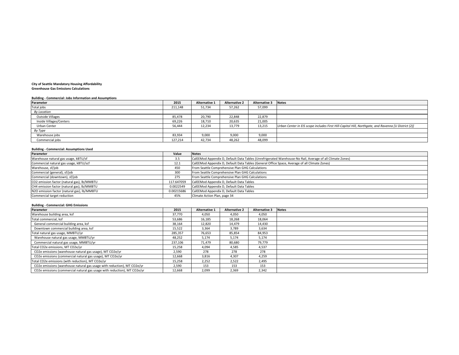## **City of Seattle Mandatory Housing Affordability Greenhouse Gas Emissions Calculations**

**Building - Commercial: Jobs Information and Assumptions**

| Parameter               | 2015    | <b>Alternative 1</b> | <b>Alternative 2</b> | <b>Alternative 3</b> | <b>Notes</b>     |
|-------------------------|---------|----------------------|----------------------|----------------------|------------------|
| Total jobs              | 211,148 | 51,734               | 57,262               | 57,099               |                  |
| <b>By Location</b>      |         |                      |                      |                      |                  |
| Outside Villages        | 85,478  | 20,790               | 22,848               | 22,879               |                  |
| Inside Villages/Centers | 69,226  | 18,710               | 20,635               | 21,005               |                  |
| Urban Center            | 56,444  | 12,234               | 13,779               | 13,215               | <b>Urban Cer</b> |
| By Type                 |         |                      |                      |                      |                  |
| Warehouse jobs          | 83,934  | 9,000                | 9,000                | 9,000                |                  |
| Commercial jobs         | 127,214 | 42,734               | 48,262               | 48,099               |                  |

# **Building - Commercial: Assumptions Used**

# **Building - Commercial: GHG Emissions**

| Parameter                                                                | 2015    | <b>Alternative 1</b> | <b>Alternative 2</b> | <b>Alternative 3</b> | <b>Notes</b> |
|--------------------------------------------------------------------------|---------|----------------------|----------------------|----------------------|--------------|
| Warehouse building area, ksf                                             | 37,770  | 4,050                | 4,050                | 4,050                |              |
| Total commercial, ksf                                                    | 53,686  | 16,185               | 18,268               | 18,064               |              |
| General commercial building area, ksf                                    | 38,164  | 12,820               | 14,479               | 14,430               |              |
| Downtown commercial building area, ksf                                   | 15,522  | 3,364                | 3,789                | 3,634                |              |
| Total natural gas usage, MMBTU/yr                                        | 285,357 | 76,653               | 85,854               | 84,953               |              |
| Warehouse natural gas usage, MMBTU/yr                                    | 48,252  | 5,174                | 5,174                | 5,174                |              |
| Commercial natural gas usage, MMBTU/yr                                   | 237,106 | 71,479               | 80,680               | 79,779               |              |
| Total CO2e emissions, MT CO2e/yr                                         | 15,258  | 4,094                | 4,585                | 4,537                |              |
| CO2e emissions (warehouse natural gas usage), MT CO2e/yr                 | 2,590   | 278                  | 278                  | 278                  |              |
| CO2e emissions (commercial natural gas usage), MT CO2e/yr                | 12,668  | 3,816                | 4,307                | 4,259                |              |
| Total CO2e emissions (with reduction), MT CO2e/yr                        | 15,258  | 2,252                | 2,522                | 2,495                |              |
| CO2e emissions (warehouse natural gas usage with reduction), MT CO2e/yr  | 2,590   | 153                  | 153                  | 153                  |              |
| CO2e emissions (commercial natural gas usage with reduction), MT CO2e/yr | 12,668  | 2,099                | 2,369                | 2,342                |              |

Puter in EIS scope includes First Hill-Capitol Hill, Northgate, and Ravenna [U District (2)]

Ise-No Rail, Average of all Climate Zones) erage of all Climate Zones)

| Parameter                                   | Value      | <b>Notes</b>                                                       |
|---------------------------------------------|------------|--------------------------------------------------------------------|
| Warehouse natural gas usage, kBTU/sf        | 3.5        | CalEEMod Appendix D, Default Data Tables (Unrefrigerated Warehou   |
| Commercial natural gas usage, kBTU/scf      | 12.1       | CalEEMod Appendix D, Default Data Tables (General Office Space, Av |
| Warehouse, sf/job                           | 450        | From Seattle Comprehensive Plan GHG Calculations                   |
| Commercial (general), sf/job                | 300        | From Seattle Comprehensive Plan GHG Calculations                   |
| Commercial (downtown), sf/job               | 275        | From Seattle Comprehensive Plan GHG Calculations                   |
| CO2 emission factor (natural gas), lb/MMBTU | 117.647059 | CalEEMod Appendix D, Default Data Tables                           |
| CH4 emission factor (natural gas), lb/MMBTU | 0.0022549  | CalEEMod Appendix D, Default Data Tables                           |
| N2O emission factor (natural gas), lb/MMBTU | 0.00215686 | CalEEMod Appendix D, Default Data Tables                           |
| Commercial target reduction                 | 45%        | Climate Action Plan, page 34                                       |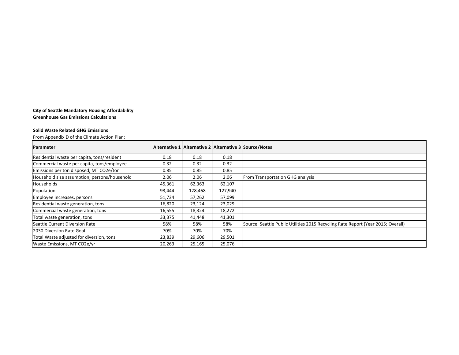# **City of Seattle Mandatory Housing Affordability**

## **Greenhouse Gas Emissions Calculations**

## **Solid Waste Related GHG Emissions**

From Appendix D of the Climate Action Plan:

| Parameter                                    |        |         |         | Alternative 1 Alternative 2 Alternative 3 Source/Notes                           |
|----------------------------------------------|--------|---------|---------|----------------------------------------------------------------------------------|
| Residential waste per capita, tons/resident  | 0.18   | 0.18    | 0.18    |                                                                                  |
| Commercial waste per capita, tons/employee   | 0.32   | 0.32    | 0.32    |                                                                                  |
| Emissions per ton disposed, MT CO2e/ton      | 0.85   | 0.85    | 0.85    |                                                                                  |
| Household size assumption, persons/household | 2.06   | 2.06    | 2.06    | From Transportation GHG analysis                                                 |
| Households                                   | 45,361 | 62,363  | 62,107  |                                                                                  |
| Population                                   | 93,444 | 128,468 | 127,940 |                                                                                  |
| Employee increases, persons                  | 51,734 | 57,262  | 57,099  |                                                                                  |
| Residential waste generation, tons           | 16,820 | 23,124  | 23,029  |                                                                                  |
| Commercial waste generation, tons            | 16,555 | 18,324  | 18,272  |                                                                                  |
| Total waste generation, tons                 | 33,375 | 41,448  | 41,301  |                                                                                  |
| Seattle Current Diversion Rate               | 58%    | 58%     | 58%     | Source: Seattle Public Utilities 2015 Recycling Rate Report (Year 2015; Overall) |
| 2030 Diversion Rate Goal                     | 70%    | 70%     | 70%     |                                                                                  |
| Total Waste adjusted for diversion, tons     | 23,839 | 29,606  | 29,501  |                                                                                  |
| Waste Emissions, MT CO2e/yr                  | 20,263 | 25,165  | 25,076  |                                                                                  |